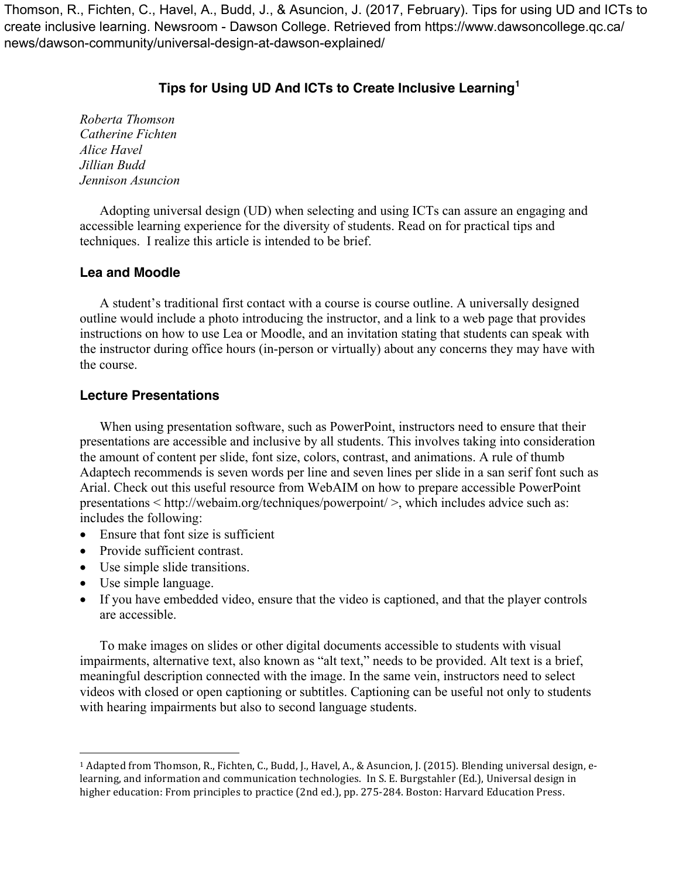Thomson, R., Fichten, C., Havel, A., Budd, J., & Asuncion, J. (2017, February). Tips for using UD and ICTs to create inclusive learning. Newsroom - Dawson College. Retrieved from https://www.dawsoncollege.qc.ca/ news/dawson-community/universal-design-at-dawson-explained/

# **Tips for Using UD And ICTs to Create Inclusive Learning<sup>1</sup>**

*Roberta Thomson Catherine Fichten Alice Havel Jillian Budd Jennison Asuncion*

Adopting universal design (UD) when selecting and using ICTs can assure an engaging and accessible learning experience for the diversity of students. Read on for practical tips and techniques. I realize this article is intended to be brief.

### **Lea and Moodle**

A student's traditional first contact with a course is course outline. A universally designed outline would include a photo introducing the instructor, and a link to a web page that provides instructions on how to use Lea or Moodle, and an invitation stating that students can speak with the instructor during office hours (in-person or virtually) about any concerns they may have with the course.

### **Lecture Presentations**

When using presentation software, such as PowerPoint, instructors need to ensure that their presentations are accessible and inclusive by all students. This involves taking into consideration the amount of content per slide, font size, colors, contrast, and animations. A rule of thumb Adaptech recommends is seven words per line and seven lines per slide in a san serif font such as Arial. Check out this useful resource from WebAIM on how to prepare accessible PowerPoint presentations < http://webaim.org/techniques/powerpoint/ >, which includes advice such as: includes the following:

- Ensure that font size is sufficient
- Provide sufficient contrast.

 

- Use simple slide transitions.
- Use simple language.
- If you have embedded video, ensure that the video is captioned, and that the player controls are accessible.

To make images on slides or other digital documents accessible to students with visual impairments, alternative text, also known as "alt text," needs to be provided. Alt text is a brief, meaningful description connected with the image. In the same vein, instructors need to select videos with closed or open captioning or subtitles. Captioning can be useful not only to students with hearing impairments but also to second language students.

<sup>&</sup>lt;sup>1</sup> Adapted from Thomson, R., Fichten, C., Budd, J., Havel, A., & Asuncion, J. (2015). Blending universal design, elearning, and information and communication technologies. In S. E. Burgstahler (Ed.), Universal design in higher education: From principles to practice (2nd ed.), pp. 275-284. Boston: Harvard Education Press.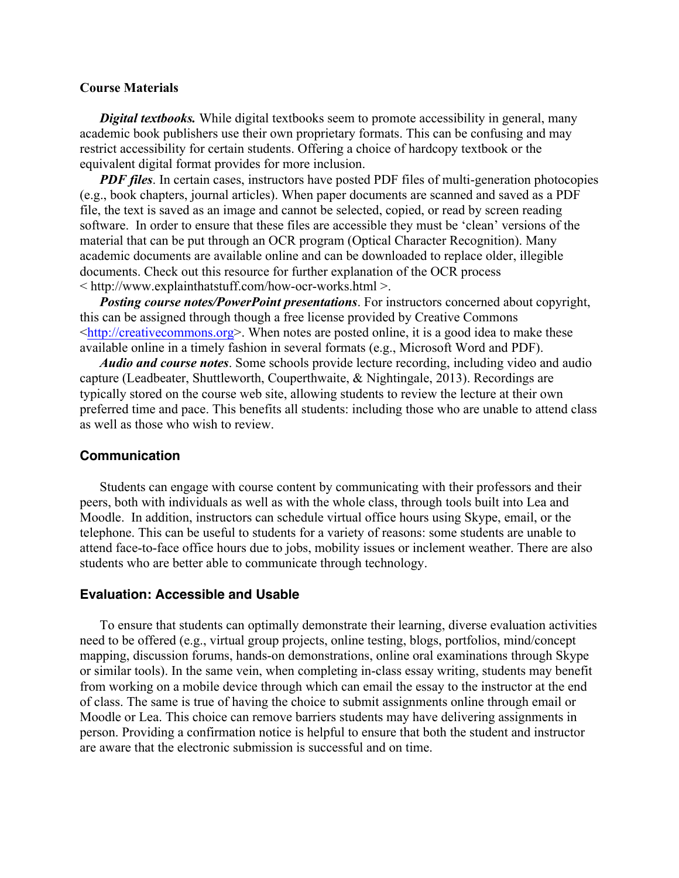#### **Course Materials**

*Digital textbooks.* While digital textbooks seem to promote accessibility in general, many academic book publishers use their own proprietary formats. This can be confusing and may restrict accessibility for certain students. Offering a choice of hardcopy textbook or the equivalent digital format provides for more inclusion.

*PDF* files. In certain cases, instructors have posted PDF files of multi-generation photocopies (e.g., book chapters, journal articles). When paper documents are scanned and saved as a PDF file, the text is saved as an image and cannot be selected, copied, or read by screen reading software. In order to ensure that these files are accessible they must be 'clean' versions of the material that can be put through an OCR program (Optical Character Recognition). Many academic documents are available online and can be downloaded to replace older, illegible documents. Check out this resource for further explanation of the OCR process < http://www.explainthatstuff.com/how-ocr-works.html >.

*Posting course notes/PowerPoint presentations*. For instructors concerned about copyright, this can be assigned through though a free license provided by Creative Commons <http://creativecommons.org>. When notes are posted online, it is a good idea to make these available online in a timely fashion in several formats (e.g., Microsoft Word and PDF).

*Audio and course notes*. Some schools provide lecture recording, including video and audio capture (Leadbeater, Shuttleworth, Couperthwaite, & Nightingale, 2013). Recordings are typically stored on the course web site, allowing students to review the lecture at their own preferred time and pace. This benefits all students: including those who are unable to attend class as well as those who wish to review.

#### **Communication**

Students can engage with course content by communicating with their professors and their peers, both with individuals as well as with the whole class, through tools built into Lea and Moodle. In addition, instructors can schedule virtual office hours using Skype, email, or the telephone. This can be useful to students for a variety of reasons: some students are unable to attend face-to-face office hours due to jobs, mobility issues or inclement weather. There are also students who are better able to communicate through technology.

#### **Evaluation: Accessible and Usable**

To ensure that students can optimally demonstrate their learning, diverse evaluation activities need to be offered (e.g., virtual group projects, online testing, blogs, portfolios, mind/concept mapping, discussion forums, hands-on demonstrations, online oral examinations through Skype or similar tools). In the same vein, when completing in-class essay writing, students may benefit from working on a mobile device through which can email the essay to the instructor at the end of class. The same is true of having the choice to submit assignments online through email or Moodle or Lea. This choice can remove barriers students may have delivering assignments in person. Providing a confirmation notice is helpful to ensure that both the student and instructor are aware that the electronic submission is successful and on time.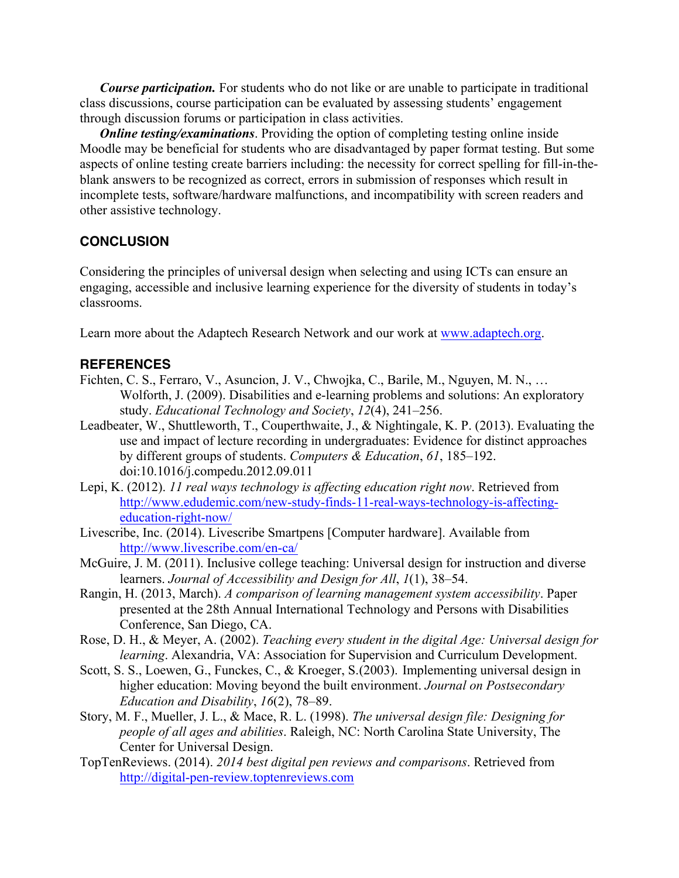*Course participation.* For students who do not like or are unable to participate in traditional class discussions, course participation can be evaluated by assessing students' engagement through discussion forums or participation in class activities.

*Online testing/examinations.* Providing the option of completing testing online inside Moodle may be beneficial for students who are disadvantaged by paper format testing. But some aspects of online testing create barriers including: the necessity for correct spelling for fill-in-theblank answers to be recognized as correct, errors in submission of responses which result in incomplete tests, software/hardware malfunctions, and incompatibility with screen readers and other assistive technology.

## **CONCLUSION**

Considering the principles of universal design when selecting and using ICTs can ensure an engaging, accessible and inclusive learning experience for the diversity of students in today's classrooms.

Learn more about the Adaptech Research Network and our work at www.adaptech.org.

## **REFERENCES**

- Fichten, C. S., Ferraro, V., Asuncion, J. V., Chwojka, C., Barile, M., Nguyen, M. N., … Wolforth, J. (2009). Disabilities and e-learning problems and solutions: An exploratory study. *Educational Technology and Society*, *12*(4), 241–256.
- Leadbeater, W., Shuttleworth, T., Couperthwaite, J., & Nightingale, K. P. (2013). Evaluating the use and impact of lecture recording in undergraduates: Evidence for distinct approaches by different groups of students. *Computers & Education*, *61*, 185–192. doi:10.1016/j.compedu.2012.09.011
- Lepi, K. (2012). *11 real ways technology is affecting education right now*. Retrieved from http://www.edudemic.com/new-study-finds-11-real-ways-technology-is-affectingeducation-right-now/
- Livescribe, Inc. (2014). Livescribe Smartpens [Computer hardware]. Available from http://www.livescribe.com/en-ca/
- McGuire, J. M. (2011). Inclusive college teaching: Universal design for instruction and diverse learners. *Journal of Accessibility and Design for All*, *1*(1), 38–54.
- Rangin, H. (2013, March). *A comparison of learning management system accessibility*. Paper presented at the 28th Annual International Technology and Persons with Disabilities Conference, San Diego, CA.
- Rose, D. H., & Meyer, A. (2002). *Teaching every student in the digital Age: Universal design for learning*. Alexandria, VA: Association for Supervision and Curriculum Development.
- Scott, S. S., Loewen, G., Funckes, C., & Kroeger, S.(2003). Implementing universal design in higher education: Moving beyond the built environment. *Journal on Postsecondary Education and Disability*, *16*(2), 78–89.
- Story, M. F., Mueller, J. L., & Mace, R. L. (1998). *The universal design file: Designing for people of all ages and abilities*. Raleigh, NC: North Carolina State University, The Center for Universal Design.
- TopTenReviews. (2014). *2014 best digital pen reviews and comparisons*. Retrieved from http://digital-pen-review.toptenreviews.com